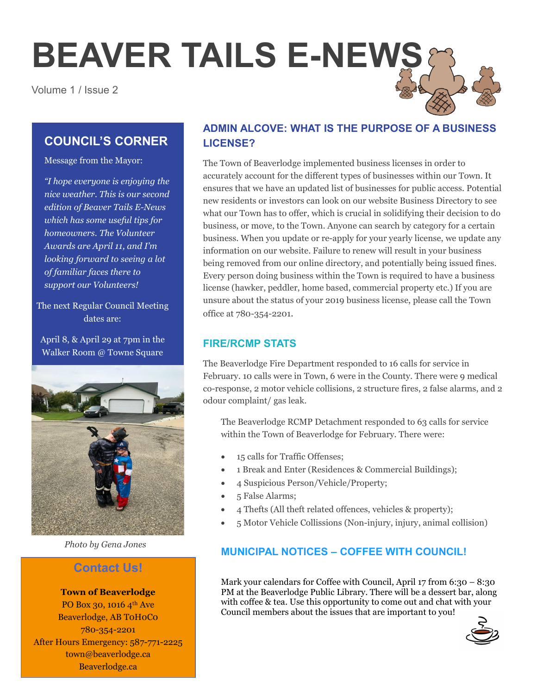# **BEAVER TAILS E-NEWS**

Volume 1 / Issue 2

# **COUNCIL'S CORNER**

Message from the Mayor:

*"I hope everyone is enjoying the nice weather. This is our second edition of Beaver Tails E-News which has some useful tips for homeowners. The Volunteer Awards are April 11, and I'm looking forward to seeing a lot of familiar faces there to support our Volunteers!* 

The next Regular Council Meeting dates are:

April 8, & April 29 at 7pm in the Walker Room @ Towne Square



*Photo by Gena Jones*

## **Contact Us!**

**Town of Beaverlodge** PO Box 30, 1016 4th Ave Beaverlodge, AB T0H0C0 780-354-2201 After Hours Emergency: 587-771-2225 town@beaverlodge.ca Beaverlodge.ca

## **ADMIN ALCOVE: WHAT IS THE PURPOSE OF A BUSINESS LICENSE?**

The Town of Beaverlodge implemented business licenses in order to accurately account for the different types of businesses within our Town. It ensures that we have an updated list of businesses for public access. Potential new residents or investors can look on our website Business Directory to see what our Town has to offer, which is crucial in solidifying their decision to do business, or move, to the Town. Anyone can search by category for a certain business. When you update or re-apply for your yearly license, we update any information on our website. Failure to renew will result in your business being removed from our online directory, and potentially being issued fines. Every person doing business within the Town is required to have a business license (hawker, peddler, home based, commercial property etc.) If you are unsure about the status of your 2019 business license, please call the Town office at 780-354-2201.

## **FIRE/RCMP STATS**

The Beaverlodge Fire Department responded to 16 calls for service in February. 10 calls were in Town, 6 were in the County. There were 9 medical co-response, 2 motor vehicle collisions, 2 structure fires, 2 false alarms, and 2 odour complaint/ gas leak.

The Beaverlodge RCMP Detachment responded to 63 calls for service within the Town of Beaverlodge for February. There were:

- 15 calls for Traffic Offenses;
- 1 Break and Enter (Residences & Commercial Buildings);
- 4 Suspicious Person/Vehicle/Property;
- 5 False Alarms;
- 4 Thefts (All theft related offences, vehicles & property);
- 5 Motor Vehicle Collissions (Non-injury, injury, animal collision)

## **MUNICIPAL NOTICES – COFFEE WITH COUNCIL!**

Mark your calendars for Coffee with Council, April 17 from 6:30 – 8:30 PM at the Beaverlodge Public Library. There will be a dessert bar, along with coffee & tea. Use this opportunity to come out and chat with your Council members about the issues that are important to you!